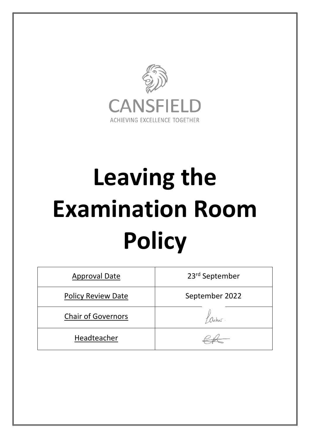

# **Leaving the Examination Room Policy**

| <b>Approval Date</b>      | 23 <sup>rd</sup> September |
|---------------------------|----------------------------|
| <b>Policy Review Date</b> | September 2022             |
| <b>Chair of Governors</b> | acher.                     |
| Headteacher               |                            |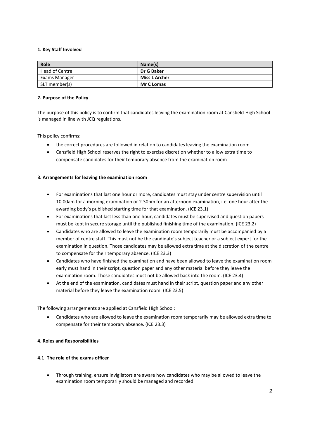# **1. Key Staff Involved**

| Role           | Name(s)              |
|----------------|----------------------|
| Head of Centre | Dr G Baker           |
| Exams Manager  | <b>Miss L Archer</b> |
| SLT member(s)  | <b>Mr C Lomas</b>    |

### **2. Purpose of the Policy**

The purpose of this policy is to confirm that candidates leaving the examination room at Cansfield High School is managed in line with JCQ regulations.

This policy confirms:

- the correct procedures are followed in relation to candidates leaving the examination room
- Cansfield High School reserves the right to exercise discretion whether to allow extra time to compensate candidates for their temporary absence from the examination room

### **3. Arrangements for leaving the examination room**

- For examinations that last one hour or more, candidates must stay under centre supervision until 10.00am for a morning examination or 2.30pm for an afternoon examination, i.e. one hour after the awarding body's published starting time for that examination. (ICE 23.1)
- For examinations that last less than one hour, candidates must be supervised and question papers must be kept in secure storage until the published finishing time of the examination. (ICE 23.2)
- Candidates who are allowed to leave the examination room temporarily must be accompanied by a member of centre staff. This must not be the candidate's subject teacher or a subject expert for the examination in question. Those candidates may be allowed extra time at the discretion of the centre to compensate for their temporary absence. (ICE 23.3)
- Candidates who have finished the examination and have been allowed to leave the examination room early must hand in their script, question paper and any other material before they leave the examination room. Those candidates must not be allowed back into the room. (ICE 23.4)
- At the end of the examination, candidates must hand in their script, question paper and any other material before they leave the examination room. (ICE 23.5)

The following arrangements are applied at Cansfield High School:

 Candidates who are allowed to leave the examination room temporarily may be allowed extra time to compensate for their temporary absence. (ICE 23.3)

## **4. Roles and Responsibilities**

# **4.1 The role of the exams officer**

 Through training, ensure invigilators are aware how candidates who may be allowed to leave the examination room temporarily should be managed and recorded